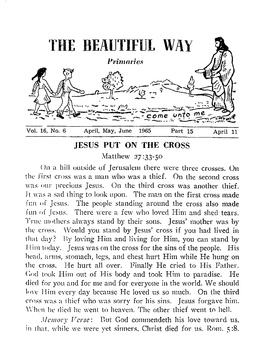

# **JESUS PUT ON THE CROSS**

Matthew 27:33-50

On a hill outside of Jerusalem there were three crosses. On the first cross was a man who was a thief. On the second cross was our precious Jesus. On the third cross was another thief. It was a sad thing- to look upon. The man on the first cross made fun of Jesus. The people standing around the cross also made fun of Jesus. There were a few who loved Him and shed tears. True mothers always stand by their sons. Jesus' mother was by the cross. Would you stand by Jesus' cross if you had lived in that day? By loving Him and living for Him, you can stand by 1 lim today. Jesus was on the cross for the sins of the people. His head, arms, stomach, legs, and chest hurt Him while He hung on the cross. He hurt all over. Finally He cried to His Father. Cod took Him out of His body and took Him to paradise. He died for you and for me and for everyone in the world. We should love Him every day because He loved us so much. On the third cross was a thief who was sorry for his sins. Jesus forgave him. When he died he went to heaven. The other thief went to hell.

*Memory Verse:* But God commendeth his love toward us, in that, while we were yet sinners, Christ died for us. Rom. 5:8.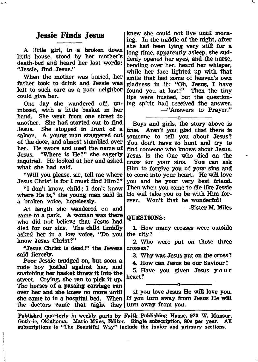## **Jessie Finds Jesus**

A little girl, in a broken down little house, stood by her mother's death-bed and heard her last words: " Jessie, find Jesus."

When the mother was buried, her father took to drink and Jessie was left to such care as a poor neighbor could give her.

One day she wandered off, unmissed, with a little basket in her hand. She went from one street to another. She had started out to find Jesus. She stopped in front of a saloon. A young man staggered out of the door, and almost stumbled over her. He swore and used the name of Jesus. "Where is He?" she eagerly inquired. He looked at her and asked what she had said.

"Will you please, sir, tell me where Jesus Christ is for I must find Him?"

"I don't know, child; I don't know where He is," the young man said in a broken voice, hopelessly.

At length she wandered on and came to a park. A woman was there who did not believe that Jesus had died for our sins. The child timidly asked her in a low voice, "Do you know Jesus Christ?"

"Jesus Christ is dead!" the Jewess said fiercely.

Poor Jessie trudged on, but soon a rude boy jostled against her, and snatching her basket threw it into the street. Crying, she ran to pick it up. The horses of a passing carriage ran over her and she knew no more until

knew she could not live until morning. In the middle of the night, after she had been lying very still for a long time, apparently asleep, she suddenly opened her eyes, and the nurse, bending over her, heard her whisper, while her face lighted up with that smile that had some of heaven's own gladness in it: "Oh, Jesus, I have found you at last!" Then the tiny lips were hushed, but the questioning spirit had received the answer. — " Answers to Prayer."

-----------------o----------------- Boys and girls, the story above is true. Aren't you glad that there is someone to tell you about Jesus? You don't have to hunt and try to find someone who knows about Jesus. Jesus is the One who died on the cross for your sins. You can ask Him to forgive you of your sins and to come into your heart. He will love you and be your very best friend. Then when you come to die like Jessie He will take you to be with Him forever. Won't that be wonderful!

— Sister M. Miles

### QUESTIONS:

1. How many crosses were outside the city?

2. Who were put on those three crosses?

3. Why was Jesus put on the cross?

4. How can Jesus be our Saviour?

5. Have you given Jesus your heart?

-----------------o--------:--------

she came to in a hospital bed. When If you turn away from Jesus He will the doctors came that night they | turn away from you. If you love Jesus He will love you.

Published quarterly in weekly parts by Faith Publishing House, 920 W. Mansur, Guthrie, Oklahoma. Marie Miles, Editor. Single subscription, 80c per year. All subscriptions to "The Beautiful Way" include the junior and primary sections.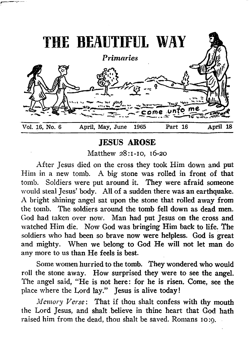

# **JESUS AROSE**

Matthew 28:1-10, 16-20

**A fter Jesus died on the cross they took Him down and put Him in a new tomb. A big stone was rolled in front of that tomb. Soldiers were put around it. They were afraid someone would steal Jesus' body. All of a sudden there was an earthquake. A bright shining angel sat upon the stone that rolled away from the tomb. The soldiers around the tomb fell down as dead men. God had taken over now. Man had put Jesus on the cross and watched Him die. Now God was bringing Him back to life. The soldiers who had been so brave now were helpless. God is great** and mighty. When we belong to God He will not let man do any more to us than He feels is best.

**Some women hurried to the tomb. They wondered who would** roll the stone away. How surprised they were to see the angel. **The angel said, " He is not here: for he is risen. Come, see the place where the Lord lay." Jesus is alive today!**

*Memory Verse:* **That if thou shalt confess with thy mouth the Lord Jesus, and shalt believe in thine heart that God hath raised him from the dead, thou shalt be saved. Romans 10:9.**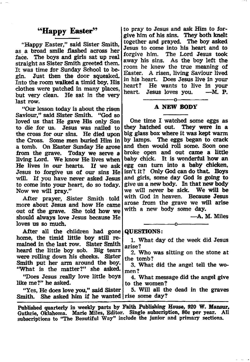## "Happy Easter"

"Happy Easter," said Sister Smith, as a broad smile flashed across her face. The boys and girls sat up real straight as Sister Smith greeted them. It was time for Sunday School to begin. Just then the door squeaked. Into the room walked a timid boy. His clothes were patched in many places, but very clean. He sat in the very last row.

"Our lesson today is about the risen Saviour," said Sister Smith. "God so loved us that He gave His only Son to die for us. Jesus was nailed to the cross for our sins. He died upon the Cross. Some men buried Him in a tomb. On Easter Sunday He arose from the grave. Today we serve a living Lord. We know He lives when<br>He lives in our hearts. If we ask He lives in our hearts. Jesus to forgive us of our sins He will. If you have never asked Jesus to come into your heart, do so today. Now we will pray."

After prayer, Sister Smith told more about Jesus and how He came out of the grave. She told how we should always love Jesus because He loves us so much.

After all the children had gone home, the timid little boy still remained in the last row. Sister Smith heard the little boy sob. Big tears were rolling down his cheeks. Sister Smith put her arm around the boy. "What is the matter?" she asked.

"Does Jesus really love little boys like me?" he asked.

"Yes, He does love you," said Sister Smith. She asked him if he wanted rise some day? 5. Will all the dead in the graves

Published quarterly in weekly parts by Faith Publishing House, 920 W. Mansur, Guthrie, Oklahoma. Marie Miles, Editor. Single subscription, 80c per year. AH subscriptions to "The Beautiful Way" include the junior and primary sections.

to pray to Jesus and ask Him to forgive him of his sins. They both knelt together and prayed. The boy asked Jesus to come into his heart and to forgive him. The Lord Jesus took away his sins. As the boy left the room he knew the true meaning of Easter. A risen, living Saviour lived in his heart. Does Jesus live in your He wants to live in your<br> $F$  is loves you.  $-F$  P. heart. Jesus loves you.

### ---------------- o----------------- A NEW BODY

One time I watched some eggs as they hatched out. They were in a big glass box where it was kept warm by lamps. The eggs began to crack and then would roll some. Soon one broke open and out came a little baby chick. It is wonderful how an egg can turn into a baby chicken, isn't it? Only God can do that. Boys and girls, some day God is going to give us a new body. In that new body we will never be sick. We will be with God in heaven. Because Jesus arose from the grave we will arise with a new body some day.

— A. M. Miles

#### QUESTIONS:

1. What day of the week did Jesus arise?

-----------------o----------------

2. Who was sitting on the stone at the tomb?

3. What did the angel tell the women?

4. What message did the angel give to the women?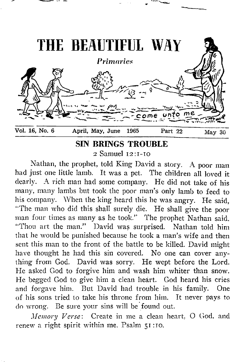

**SIN BRINGS TROUBLE** 

2 Samuel 12 :1-10

Nathan, the prophet, told King David a story. A poor man had just one little lamb. It was a pet. The children all loved it dearly. A rich man had some company. He did not take of his many, many lambs but took the poor man's only lamb to feed to his company. When the king heard this he was angry. He said, " The man who did this shall surely die. He shall give the poor man four times as many as he took." The prophet Nathan said. "Thou art the man." David was surprised. Nathan told him that he would be punished because he took a man's wife and then sent this man to the front of the battle to be killed. David might have thought he had this sin covered. No one can cover anything from God. David was sorry. He wept before the Lord. He asked God to forgive him and wash him whiter than snow. He begged God to give him a clean heart. God heard his cries and forgave him. But David had trouble in his family. One of his sons tried to take his throne from him. It never pays to do wrong. Be sure your sins will be found out.

*Memory Verse*: Create in me a clean heart, O God. and renew a right spirit within me. Psalm 51:10.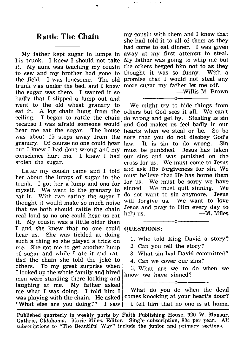## **Rattle The Chain**

My father kept sugar in lumps in his trunk. I knew I should not take it. My aunt was teaching my cousin to sew and my brother had gone to the field. I was lonesome. The old trunk was under the bed, and I knew the sugar was there. I wanted it so badly that I slipped a lump out and went to the old wheat granary to eat it. A log chain hung from the ceiling. I began to rattle the chain because I was afraid someone would<br>hear me eat the sugar. The house hear me eat the sugar. was about 15 steps away from the granary. Of course no one could hear but I knew I had done wrong and my conscience hurt me. I knew I had stolen the sugar.

Later my cousin came and I told her about the lumps of sugar in the trunk. I got her a lump and one for myself. We went to the granary to eat it. With two eating the sugar I thought it would make so much noise that we both should rattle the chain real loud so no one could hear us eat it. My cousin was a little older than I and she knew that no one could hear us. She was tickled at doing such a thing so she played a trick on me. She got me to get another lump of sugar and while I ate it and rattled the chain she told the joke to others. To my great surprise when I looked up the whole family and hired men were standing there looking and laughing at me. My father asked me what I was doing. I told him I was playing with the chain. He asked "What else are you doing?" I saw

my cousin with them and I knew that she had told it to all of them as they had come to eat dinner. I was given away at my first attempt to steal. My father was going to whip me but the others begged him not to as they thought it was so funny. With a promise that I would not steal any more sugar my father let me off.

 $\sigma$  and  $\sigma$  and

— Willis M. Brown

---------------- o---------------- We might try to hide things from others but God sees it all. We can't do wrong and get by. Stealing is sin and God makes us feel badly in our hearts when we steal or lie. So be sure that you do not disobey God's law. It is sin to do wrong. Sin must be punished. Jesus has taken must be punished. our sins and was punished on the cross for us. We must come to Jesus and ask His forgiveness for sin. We must believe that He has borne them for us. We must be sorry we have sinned. We must quit sinning. We do not want to sin anymore. Jesus will forgive us. We want to love Jesus and pray to Him every day to help us.  $-M$ . Miles

#### QUESTIONS:

1. Who told King David a story?

---------------- o-----------------

- 2. Can you tell the story?
- 3. What sin had David committed?
- 4. Can we cover our sins?

------------------------------------- o --------------------------------------

5. What are we to do when we know we have sinned?

What do you do when the devil comes knocking at your heart's door? I tell him that no one is at home.

Published quarterly in weekly parts by Faith Publishing House, 920 W. Mansur, Guthrie, Oklahoma. Marie Miles, Editor. Single subscription, 80c per year. All subscriptions to "The Beautiful Way" include the junior and primary sections.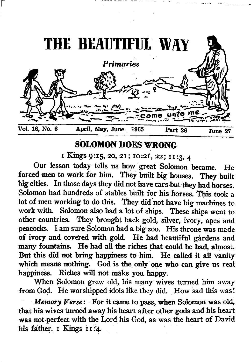

# **SOLOMON DOES WRONG**

**i** Kings 9:15, 20, 21; 10:21, 22; 11:3, 4

**Our lesson today tells us how great Solomon became. He forced men to work for him. They built big houses. They built big cities. In those days they did not have cars but they had horses. Solomon had hundreds of stables built for his horses. This took a lot of men working to do this. They did not have big machines to work with. Solomon also had a lot of ships. These ships went to other countries. They brought back gold, silver, ivory, apes and** peacocks. I am sure Solomon had a big zoo. His throne was made of ivory and covered with gold. He had beautiful gardens and many fountains. He had all the riches that could be had, almost. But this did not bring happiness to him. He called it all vanity **which means nothing. God is the only one who can give us real happiness. Riches will not make you happy.**

**When Solomon grew old, his many wives turned him away** from God. He worshipped idols like they did. How sad this was!

*Memory Verse:* For it came to pass, when Solomon was old, that his wives turned away his heart after other gods and his heart **was not perfect with the Lord his God, as was the heart of David his father. 1 Kings 11:4.**